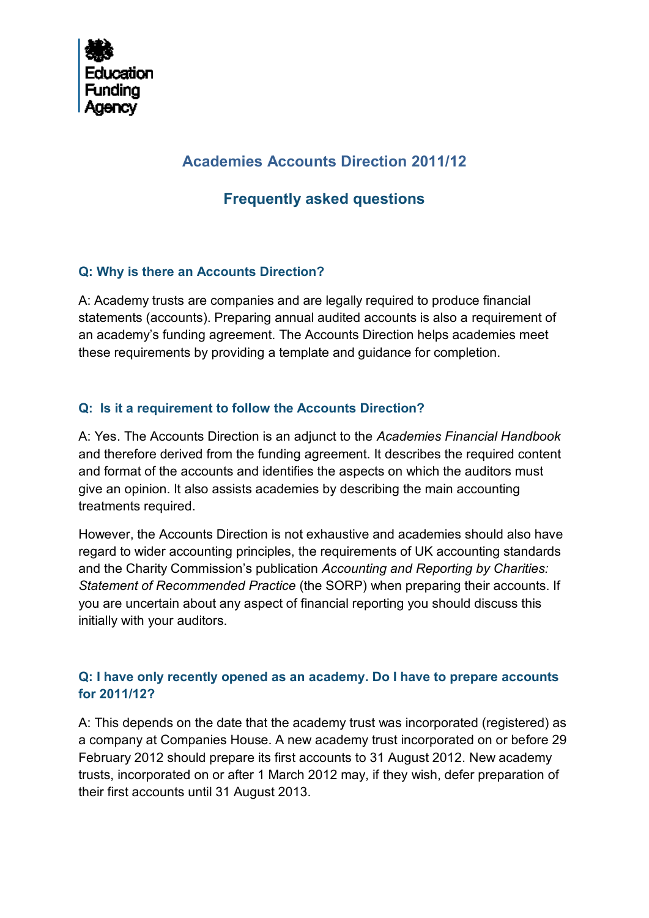

# **Academies Accounts Direction 2011/12**

# **Frequently asked questions**

# **Q: Why is there an Accounts Direction?**

A: Academy trusts are companies and are legally required to produce financial statements (accounts). Preparing annual audited accounts is also a requirement of an academy's funding agreement. The Accounts Direction helps academies meet these requirements by providing a template and guidance for completion.

# **Q: Is it a requirement to follow the Accounts Direction?**

A: Yes. The Accounts Direction is an adjunct to the *Academies Financial Handbook* and therefore derived from the funding agreement. It describes the required content and format of the accounts and identifies the aspects on which the auditors must give an opinion. It also assists academies by describing the main accounting treatments required.

However, the Accounts Direction is not exhaustive and academies should also have regard to wider accounting principles, the requirements of UK accounting standards and the Charity Commission's publication *Accounting and Reporting by Charities: Statement of Recommended Practice* (the SORP) when preparing their accounts. If you are uncertain about any aspect of financial reporting you should discuss this initially with your auditors.

# **Q: I have only recently opened as an academy. Do I have to prepare accounts for 2011/12?**

A: This depends on the date that the academy trust was incorporated (registered) as a company at Companies House. A new academy trust incorporated on or before 29 February 2012 should prepare its first accounts to 31 August 2012. New academy trusts, incorporated on or after 1 March 2012 may, if they wish, defer preparation of their first accounts until 31 August 2013.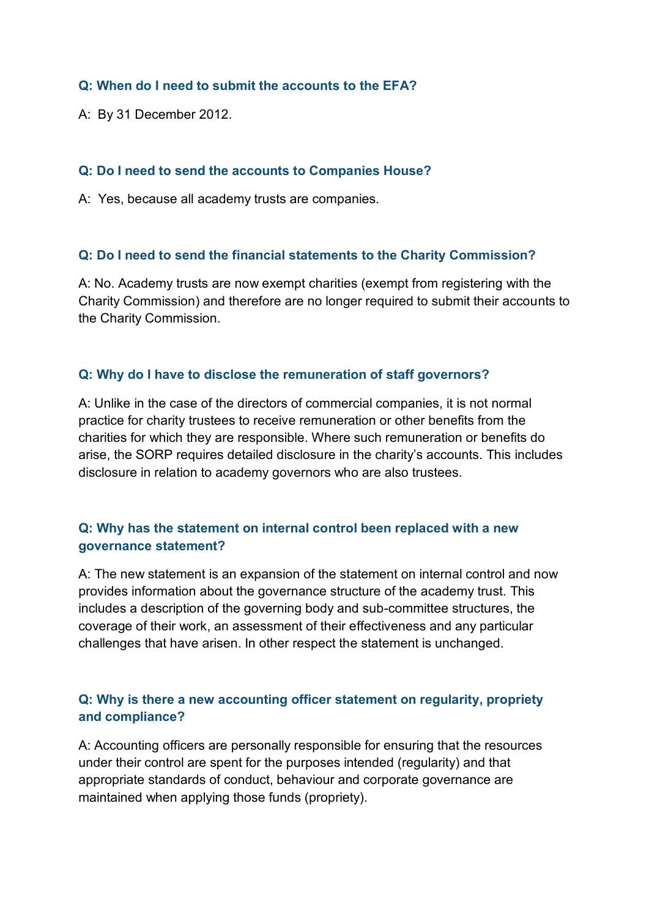#### **Q: When do I need to submit the accounts to the EFA?**

A: By 31 December 2012.

#### **Q: Do I need to send the accounts to Companies House?**

A: Yes, because all academy trusts are companies.

#### **Q: Do I need to send the financial statements to the Charity Commission?**

A: No. Academy trusts are now exempt charities (exempt from registering with the Charity Commission) and therefore are no longer required to submit their accounts to the Charity Commission.

#### **Q: Why do I have to disclose the remuneration of staff governors?**

A: Unlike in the case of the directors of commercial companies, it is not normal practice for charity trustees to receive remuneration or other benefits from the charities for which they are responsible. Where such remuneration or benefits do arise, the SORP requires detailed disclosure in the charity's accounts. This includes disclosure in relation to academy governors who are also trustees.

# **Q: Why has the statement on internal control been replaced with a new governance statement?**

A: The new statement is an expansion of the statement on internal control and now provides information about the governance structure of the academy trust. This includes a description of the governing body and sub-committee structures, the coverage of their work, an assessment of their effectiveness and any particular challenges that have arisen. In other respect the statement is unchanged.

# **Q: Why is there a new accounting officer statement on regularity, propriety and compliance?**

A: Accounting officers are personally responsible for ensuring that the resources under their control are spent for the purposes intended (regularity) and that appropriate standards of conduct, behaviour and corporate governance are maintained when applying those funds (propriety).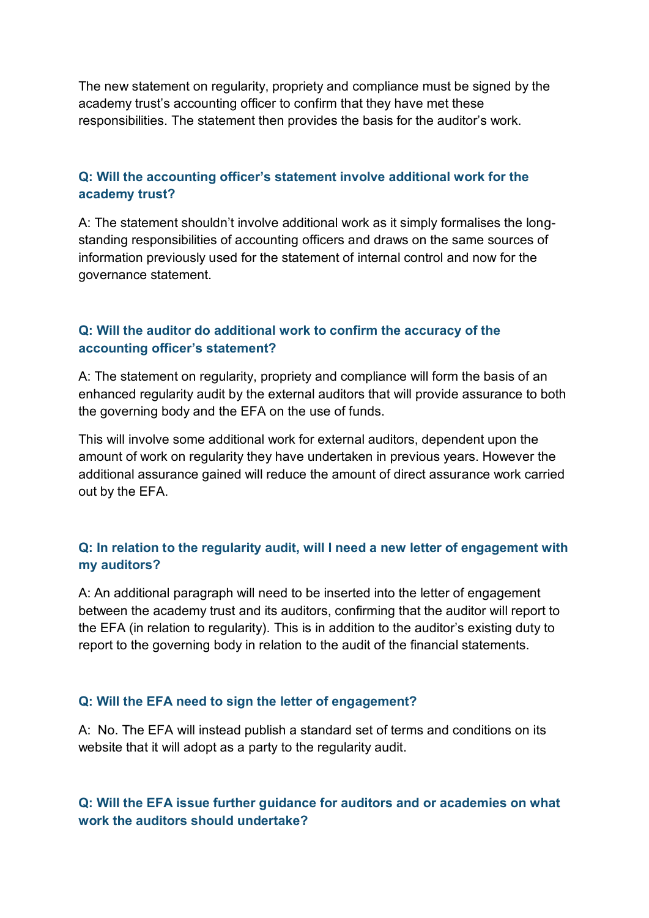The new statement on regularity, propriety and compliance must be signed by the academy trust's accounting officer to confirm that they have met these responsibilities. The statement then provides the basis for the auditor's work.

### **Q: Will the accounting officer's statement involve additional work for the academy trust?**

A: The statement shouldn't involve additional work as it simply formalises the longstanding responsibilities of accounting officers and draws on the same sources of information previously used for the statement of internal control and now for the governance statement.

# **Q: Will the auditor do additional work to confirm the accuracy of the accounting officer's statement?**

A: The statement on regularity, propriety and compliance will form the basis of an enhanced regularity audit by the external auditors that will provide assurance to both the governing body and the EFA on the use of funds.

This will involve some additional work for external auditors, dependent upon the amount of work on regularity they have undertaken in previous years. However the additional assurance gained will reduce the amount of direct assurance work carried out by the EFA.

# **Q: In relation to the regularity audit, will I need a new letter of engagement with my auditors?**

A: An additional paragraph will need to be inserted into the letter of engagement between the academy trust and its auditors, confirming that the auditor will report to the EFA (in relation to regularity). This is in addition to the auditor's existing duty to report to the governing body in relation to the audit of the financial statements.

#### **Q: Will the EFA need to sign the letter of engagement?**

A: No. The EFA will instead publish a standard set of terms and conditions on its website that it will adopt as a party to the regularity audit.

# **Q: Will the EFA issue further guidance for auditors and or academies on what work the auditors should undertake?**